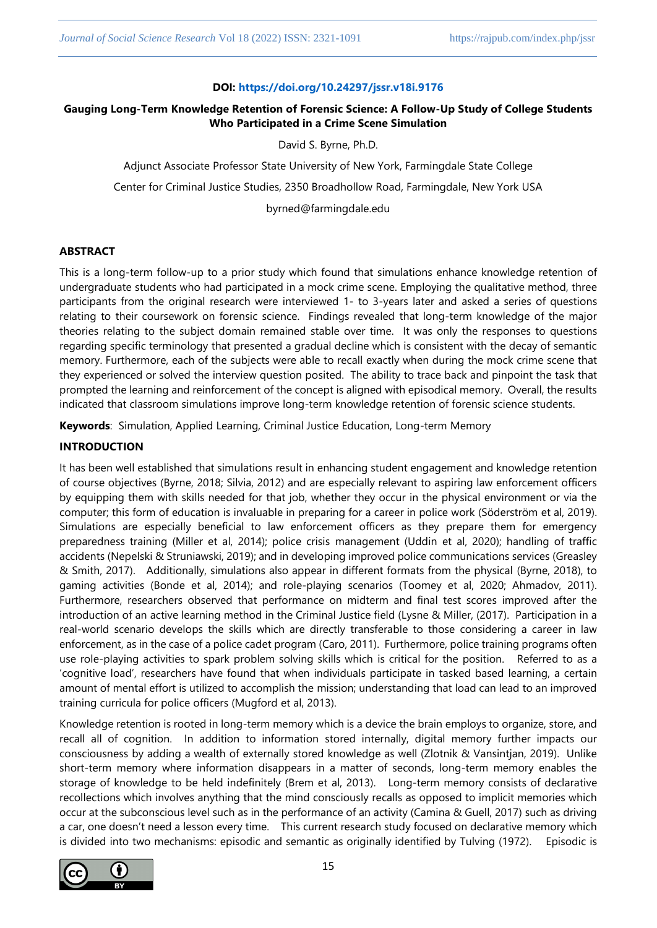## **DOI: <https://doi.org/10.24297/jssr.v18i.9176>**

# **Gauging Long-Term Knowledge Retention of Forensic Science: A Follow-Up Study of College Students Who Participated in a Crime Scene Simulation**

David S. Byrne, Ph.D.

Adjunct Associate Professor State University of New York, Farmingdale State College

Center for Criminal Justice Studies, 2350 Broadhollow Road, Farmingdale, New York USA

byrned@farmingdale.edu

### **ABSTRACT**

This is a long-term follow-up to a prior study which found that simulations enhance knowledge retention of undergraduate students who had participated in a mock crime scene. Employing the qualitative method, three participants from the original research were interviewed 1- to 3-years later and asked a series of questions relating to their coursework on forensic science. Findings revealed that long-term knowledge of the major theories relating to the subject domain remained stable over time. It was only the responses to questions regarding specific terminology that presented a gradual decline which is consistent with the decay of semantic memory. Furthermore, each of the subjects were able to recall exactly when during the mock crime scene that they experienced or solved the interview question posited. The ability to trace back and pinpoint the task that prompted the learning and reinforcement of the concept is aligned with episodical memory. Overall, the results indicated that classroom simulations improve long-term knowledge retention of forensic science students.

**Keywords**: Simulation, Applied Learning, Criminal Justice Education, Long-term Memory

### **INTRODUCTION**

It has been well established that simulations result in enhancing student engagement and knowledge retention of course objectives (Byrne, 2018; Silvia, 2012) and are especially relevant to aspiring law enforcement officers by equipping them with skills needed for that job, whether they occur in the physical environment or via the computer; this form of education is invaluable in preparing for a career in police work (Söderström et al, 2019). Simulations are especially beneficial to law enforcement officers as they prepare them for emergency preparedness training (Miller et al, 2014); police crisis management (Uddin et al, 2020); handling of traffic accidents (Nepelski & Struniawski, 2019); and in developing improved police communications services (Greasley & Smith, 2017). Additionally, simulations also appear in different formats from the physical (Byrne, 2018), to gaming activities (Bonde et al, 2014); and role-playing scenarios (Toomey et al, 2020; Ahmadov, 2011). Furthermore, researchers observed that performance on midterm and final test scores improved after the introduction of an active learning method in the Criminal Justice field (Lysne & Miller, (2017). Participation in a real-world scenario develops the skills which are directly transferable to those considering a career in law enforcement, as in the case of a police cadet program (Caro, 2011). Furthermore, police training programs often use role-playing activities to spark problem solving skills which is critical for the position. Referred to as a 'cognitive load', researchers have found that when individuals participate in tasked based learning, a certain amount of mental effort is utilized to accomplish the mission; understanding that load can lead to an improved training curricula for police officers (Mugford et al, 2013).

Knowledge retention is rooted in long-term memory which is a device the brain employs to organize, store, and recall all of cognition. In addition to information stored internally, digital memory further impacts our consciousness by adding a wealth of externally stored knowledge as well (Zlotnik & Vansintjan, 2019). Unlike short-term memory where information disappears in a matter of seconds, long-term memory enables the storage of knowledge to be held indefinitely (Brem et al, 2013). Long-term memory consists of declarative recollections which involves anything that the mind consciously recalls as opposed to implicit memories which occur at the subconscious level such as in the performance of an activity (Camina & Guell, 2017) such as driving a car, one doesn't need a lesson every time. This current research study focused on declarative memory which is divided into two mechanisms: episodic and semantic as originally identified by Tulving (1972). Episodic is

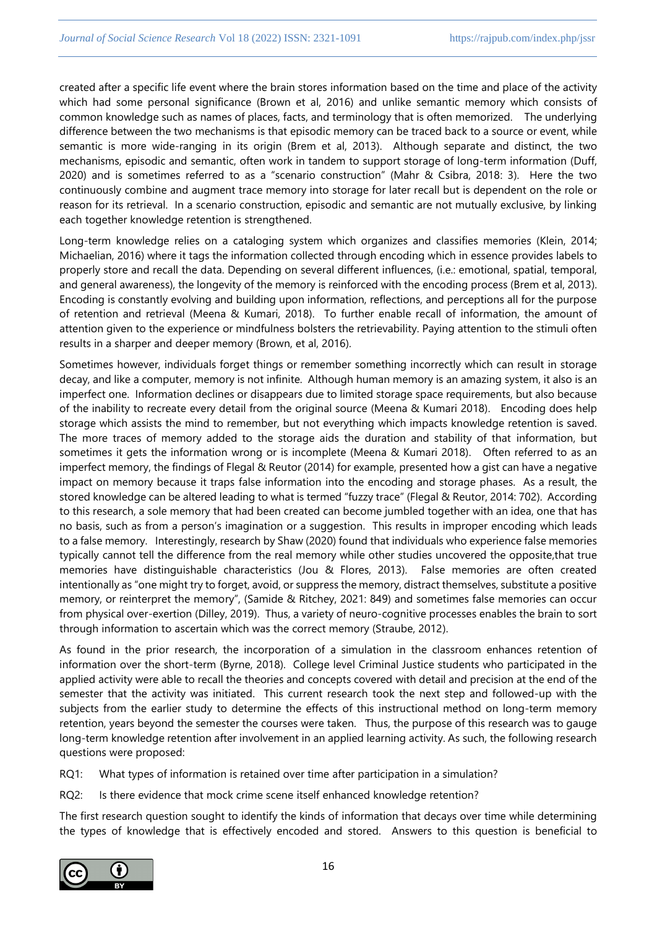created after a specific life event where the brain stores information based on the time and place of the activity which had some personal significance (Brown et al, 2016) and unlike semantic memory which consists of common knowledge such as names of places, facts, and terminology that is often memorized. The underlying difference between the two mechanisms is that episodic memory can be traced back to a source or event, while semantic is more wide-ranging in its origin (Brem et al, 2013). Although separate and distinct, the two mechanisms, episodic and semantic, often work in tandem to support storage of long-term information (Duff, 2020) and is sometimes referred to as a "scenario construction" (Mahr & Csibra, 2018: 3). Here the two continuously combine and augment trace memory into storage for later recall but is dependent on the role or reason for its retrieval. In a scenario construction, episodic and semantic are not mutually exclusive, by linking each together knowledge retention is strengthened.

Long-term knowledge relies on a cataloging system which organizes and classifies memories (Klein, 2014; Michaelian, 2016) where it tags the information collected through encoding which in essence provides labels to properly store and recall the data. Depending on several different influences, (i.e.: emotional, spatial, temporal, and general awareness), the longevity of the memory is reinforced with the encoding process (Brem et al, 2013). Encoding is constantly evolving and building upon information, reflections, and perceptions all for the purpose of retention and retrieval (Meena & Kumari, 2018). To further enable recall of information, the amount of attention given to the experience or mindfulness bolsters the retrievability. Paying attention to the stimuli often results in a sharper and deeper memory (Brown, et al, 2016).

Sometimes however, individuals forget things or remember something incorrectly which can result in storage decay, and like a computer, memory is not infinite. Although human memory is an amazing system, it also is an imperfect one. Information declines or disappears due to limited storage space requirements, but also because of the inability to recreate every detail from the original source (Meena & Kumari 2018). Encoding does help storage which assists the mind to remember, but not everything which impacts knowledge retention is saved. The more traces of memory added to the storage aids the duration and stability of that information, but sometimes it gets the information wrong or is incomplete (Meena & Kumari 2018). Often referred to as an imperfect memory, the findings of Flegal & Reutor (2014) for example, presented how a gist can have a negative impact on memory because it traps false information into the encoding and storage phases. As a result, the stored knowledge can be altered leading to what is termed "fuzzy trace" (Flegal & Reutor, 2014: 702). According to this research, a sole memory that had been created can become jumbled together with an idea, one that has no basis, such as from a person's imagination or a suggestion. This results in improper encoding which leads to a false memory. Interestingly, research by Shaw (2020) found that individuals who experience false memories typically cannot tell the difference from the real memory while other studies uncovered the opposite,that true memories have distinguishable characteristics (Jou & Flores, 2013). False memories are often created intentionally as "one might try to forget, avoid, or suppress the memory, distract themselves, substitute a positive memory, or reinterpret the memory", (Samide & Ritchey, 2021: 849) and sometimes false memories can occur from physical over-exertion (Dilley, 2019). Thus, a variety of neuro-cognitive processes enables the brain to sort through information to ascertain which was the correct memory (Straube, 2012).

As found in the prior research, the incorporation of a simulation in the classroom enhances retention of information over the short-term (Byrne, 2018). College level Criminal Justice students who participated in the applied activity were able to recall the theories and concepts covered with detail and precision at the end of the semester that the activity was initiated. This current research took the next step and followed-up with the subjects from the earlier study to determine the effects of this instructional method on long-term memory retention, years beyond the semester the courses were taken. Thus, the purpose of this research was to gauge long-term knowledge retention after involvement in an applied learning activity. As such, the following research questions were proposed:

RQ1: What types of information is retained over time after participation in a simulation?

RQ2: Is there evidence that mock crime scene itself enhanced knowledge retention?

The first research question sought to identify the kinds of information that decays over time while determining the types of knowledge that is effectively encoded and stored. Answers to this question is beneficial to

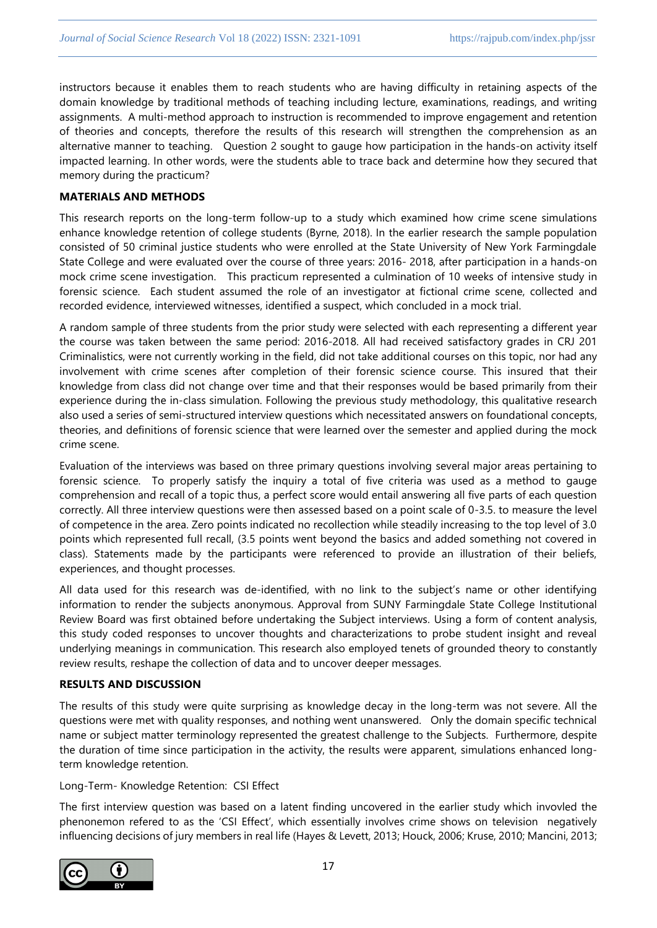instructors because it enables them to reach students who are having difficulty in retaining aspects of the domain knowledge by traditional methods of teaching including lecture, examinations, readings, and writing assignments. A multi-method approach to instruction is recommended to improve engagement and retention of theories and concepts, therefore the results of this research will strengthen the comprehension as an alternative manner to teaching. Question 2 sought to gauge how participation in the hands-on activity itself impacted learning. In other words, were the students able to trace back and determine how they secured that memory during the practicum?

### **MATERIALS AND METHODS**

This research reports on the long-term follow-up to a study which examined how crime scene simulations enhance knowledge retention of college students (Byrne, 2018). In the earlier research the sample population consisted of 50 criminal justice students who were enrolled at the State University of New York Farmingdale State College and were evaluated over the course of three years: 2016- 2018, after participation in a hands-on mock crime scene investigation. This practicum represented a culmination of 10 weeks of intensive study in forensic science. Each student assumed the role of an investigator at fictional crime scene, collected and recorded evidence, interviewed witnesses, identified a suspect, which concluded in a mock trial.

A random sample of three students from the prior study were selected with each representing a different year the course was taken between the same period: 2016-2018. All had received satisfactory grades in CRJ 201 Criminalistics, were not currently working in the field, did not take additional courses on this topic, nor had any involvement with crime scenes after completion of their forensic science course. This insured that their knowledge from class did not change over time and that their responses would be based primarily from their experience during the in-class simulation. Following the previous study methodology, this qualitative research also used a series of semi-structured interview questions which necessitated answers on foundational concepts, theories, and definitions of forensic science that were learned over the semester and applied during the mock crime scene.

Evaluation of the interviews was based on three primary questions involving several major areas pertaining to forensic science. To properly satisfy the inquiry a total of five criteria was used as a method to gauge comprehension and recall of a topic thus, a perfect score would entail answering all five parts of each question correctly. All three interview questions were then assessed based on a point scale of 0-3.5. to measure the level of competence in the area. Zero points indicated no recollection while steadily increasing to the top level of 3.0 points which represented full recall, (3.5 points went beyond the basics and added something not covered in class). Statements made by the participants were referenced to provide an illustration of their beliefs, experiences, and thought processes.

All data used for this research was de-identified, with no link to the subject's name or other identifying information to render the subjects anonymous. Approval from SUNY Farmingdale State College Institutional Review Board was first obtained before undertaking the Subject interviews. Using a form of content analysis, this study coded responses to uncover thoughts and characterizations to probe student insight and reveal underlying meanings in communication. This research also employed tenets of grounded theory to constantly review results, reshape the collection of data and to uncover deeper messages.

# **RESULTS AND DISCUSSION**

The results of this study were quite surprising as knowledge decay in the long-term was not severe. All the questions were met with quality responses, and nothing went unanswered. Only the domain specific technical name or subject matter terminology represented the greatest challenge to the Subjects. Furthermore, despite the duration of time since participation in the activity, the results were apparent, simulations enhanced longterm knowledge retention.

### Long-Term- Knowledge Retention: CSI Effect

The first interview question was based on a latent finding uncovered in the earlier study which invovled the phenonemon refered to as the 'CSI Effect', which essentially involves crime shows on television negatively influencing decisions of jury members in real life (Hayes & Levett, 2013; Houck, 2006; Kruse, 2010; Mancini, 2013;

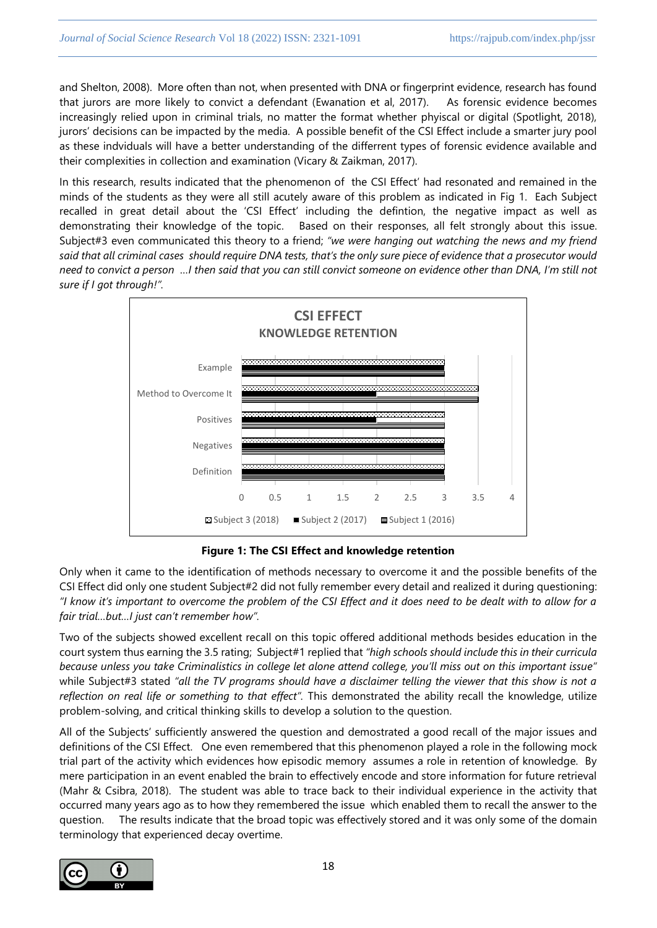and Shelton, 2008). More often than not, when presented with DNA or fingerprint evidence, research has found that jurors are more likely to convict a defendant (Ewanation et al, 2017). As forensic evidence becomes increasingly relied upon in criminal trials, no matter the format whether phyiscal or digital (Spotlight, 2018), jurors' decisions can be impacted by the media. A possible benefit of the CSI Effect include a smarter jury pool as these indviduals will have a better understanding of the differrent types of forensic evidence available and their complexities in collection and examination (Vicary & Zaikman, 2017).

In this research, results indicated that the phenomenon of the CSI Effect' had resonated and remained in the minds of the students as they were all still acutely aware of this problem as indicated in Fig 1. Each Subject recalled in great detail about the 'CSI Effect' including the defintion, the negative impact as well as demonstrating their knowledge of the topic. Based on their responses, all felt strongly about this issue. Subject#3 even communicated this theory to a friend; *"we were hanging out watching the news and my friend said that all criminal cases should require DNA tests, that's the only sure piece of evidence that a prosecutor would need to convict a person …I then said that you can still convict someone on evidence other than DNA, I'm still not sure if I got through!".*



**Figure 1: The CSI Effect and knowledge retention**

Only when it came to the identification of methods necessary to overcome it and the possible benefits of the CSI Effect did only one student Subject#2 did not fully remember every detail and realized it during questioning: *"I know it's important to overcome the problem of the CSI Effect and it does need to be dealt with to allow for a fair trial…but…I just can't remember how".* 

Two of the subjects showed excellent recall on this topic offered additional methods besides education in the court system thus earning the 3.5 rating; Subject#1 replied that *"high schools should include this in their curricula because unless you take Criminalistics in college let alone attend college, you'll miss out on this important issue"* while Subject#3 stated *"all the TV programs should have a disclaimer telling the viewer that this show is not a reflection on real life or something to that effect".* This demonstrated the ability recall the knowledge, utilize problem-solving, and critical thinking skills to develop a solution to the question.

All of the Subjects' sufficiently answered the question and demostrated a good recall of the major issues and definitions of the CSI Effect. One even remembered that this phenomenon played a role in the following mock trial part of the activity which evidences how episodic memory assumes a role in retention of knowledge. By mere participation in an event enabled the brain to effectively encode and store information for future retrieval (Mahr & Csibra, 2018). The student was able to trace back to their individual experience in the activity that occurred many years ago as to how they remembered the issue which enabled them to recall the answer to the question. The results indicate that the broad topic was effectively stored and it was only some of the domain terminology that experienced decay overtime.

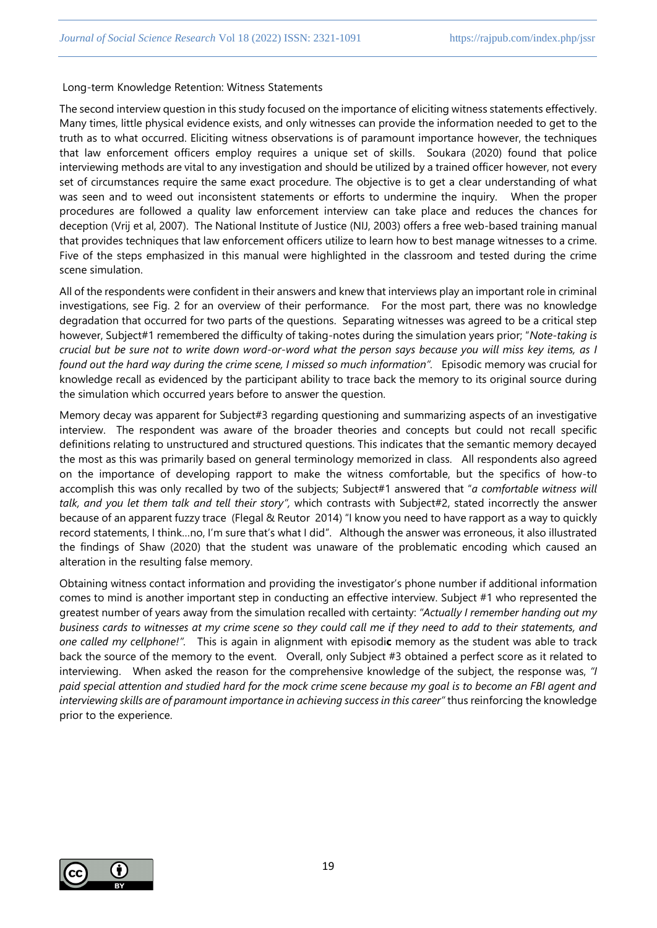#### Long-term Knowledge Retention: Witness Statements

The second interview question in this study focused on the importance of eliciting witness statements effectively. Many times, little physical evidence exists, and only witnesses can provide the information needed to get to the truth as to what occurred. Eliciting witness observations is of paramount importance however, the techniques that law enforcement officers employ requires a unique set of skills. Soukara (2020) found that police interviewing methods are vital to any investigation and should be utilized by a trained officer however, not every set of circumstances require the same exact procedure. The objective is to get a clear understanding of what was seen and to weed out inconsistent statements or efforts to undermine the inquiry. When the proper procedures are followed a quality law enforcement interview can take place and reduces the chances for deception (Vrij et al, 2007). The National Institute of Justice (NIJ, 2003) offers a free web-based training manual that provides techniques that law enforcement officers utilize to learn how to best manage witnesses to a crime. Five of the steps emphasized in this manual were highlighted in the classroom and tested during the crime scene simulation.

All of the respondents were confident in their answers and knew that interviews play an important role in criminal investigations, see Fig. 2 for an overview of their performance. For the most part, there was no knowledge degradation that occurred for two parts of the questions. Separating witnesses was agreed to be a critical step however, Subject#1 remembered the difficulty of taking-notes during the simulation years prior; "*Note-taking is crucial but be sure not to write down word-or-word what the person says because you will miss key items, as I found out the hard way during the crime scene, I missed so much information".* Episodic memory was crucial for knowledge recall as evidenced by the participant ability to trace back the memory to its original source during the simulation which occurred years before to answer the question.

Memory decay was apparent for Subject#3 regarding questioning and summarizing aspects of an investigative interview. The respondent was aware of the broader theories and concepts but could not recall specific definitions relating to unstructured and structured questions. This indicates that the semantic memory decayed the most as this was primarily based on general terminology memorized in class. All respondents also agreed on the importance of developing rapport to make the witness comfortable, but the specifics of how-to accomplish this was only recalled by two of the subjects; Subject#1 answered that "*a comfortable witness will talk, and you let them talk and tell their story",* which contrasts with Subject#2, stated incorrectly the answer because of an apparent fuzzy trace (Flegal & Reutor 2014) "I know you need to have rapport as a way to quickly record statements, I think…no, I'm sure that's what I did". Although the answer was erroneous, it also illustrated the findings of Shaw (2020) that the student was unaware of the problematic encoding which caused an alteration in the resulting false memory.

Obtaining witness contact information and providing the investigator's phone number if additional information comes to mind is another important step in conducting an effective interview. Subject #1 who represented the greatest number of years away from the simulation recalled with certainty: *"Actually I remember handing out my business cards to witnesses at my crime scene so they could call me if they need to add to their statements, and one called my cellphone!".* This is again in alignment with episodi**c** memory as the student was able to track back the source of the memory to the event. Overall, only Subject #3 obtained a perfect score as it related to interviewing. When asked the reason for the comprehensive knowledge of the subject, the response was, *"I paid special attention and studied hard for the mock crime scene because my goal is to become an FBI agent and interviewing skills are of paramount importance in achieving success in this career"* thus reinforcing the knowledge prior to the experience.

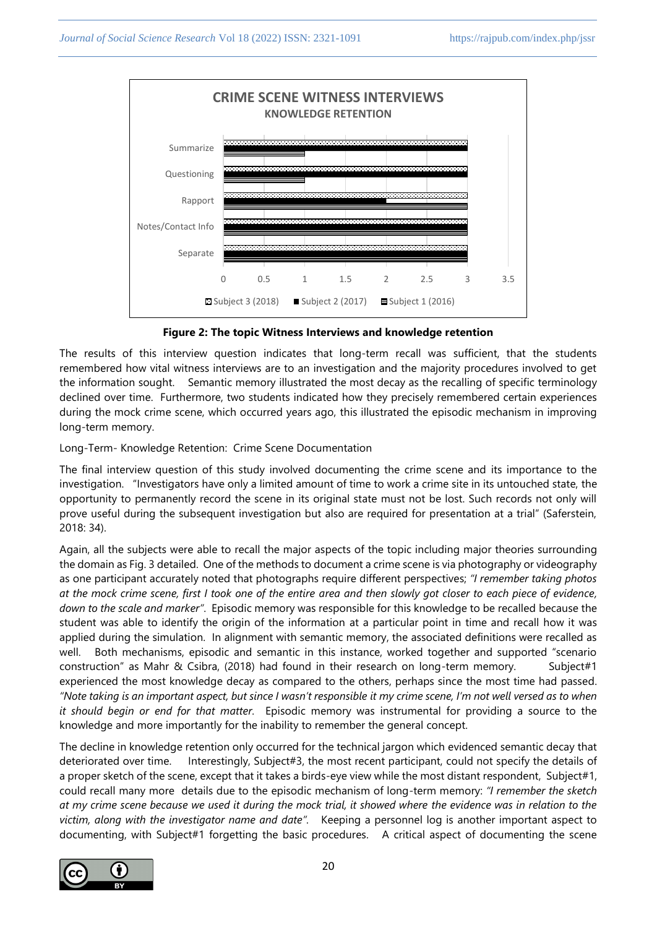

**Figure 2: The topic Witness Interviews and knowledge retention**

The results of this interview question indicates that long-term recall was sufficient, that the students remembered how vital witness interviews are to an investigation and the majority procedures involved to get the information sought. Semantic memory illustrated the most decay as the recalling of specific terminology declined over time. Furthermore, two students indicated how they precisely remembered certain experiences during the mock crime scene, which occurred years ago, this illustrated the episodic mechanism in improving long-term memory.

Long-Term- Knowledge Retention: Crime Scene Documentation

The final interview question of this study involved documenting the crime scene and its importance to the investigation. "Investigators have only a limited amount of time to work a crime site in its untouched state, the opportunity to permanently record the scene in its original state must not be lost. Such records not only will prove useful during the subsequent investigation but also are required for presentation at a trial" (Saferstein, 2018: 34).

Again, all the subjects were able to recall the major aspects of the topic including major theories surrounding the domain as Fig. 3 detailed. One of the methods to document a crime scene is via photography or videography as one participant accurately noted that photographs require different perspectives; *"I remember taking photos at the mock crime scene, first I took one of the entire area and then slowly got closer to each piece of evidence, down to the scale and marker"*. Episodic memory was responsible for this knowledge to be recalled because the student was able to identify the origin of the information at a particular point in time and recall how it was applied during the simulation. In alignment with semantic memory, the associated definitions were recalled as well. Both mechanisms, episodic and semantic in this instance, worked together and supported "scenario construction" as Mahr & Csibra, (2018) had found in their research on long-term memory. Subject#1 experienced the most knowledge decay as compared to the others, perhaps since the most time had passed. "Note taking is an important aspect, but since I wasn't responsible it my crime scene, I'm not well versed as to when *it should begin or end for that matter.* Episodic memory was instrumental for providing a source to the knowledge and more importantly for the inability to remember the general concept.

The decline in knowledge retention only occurred for the technical jargon which evidenced semantic decay that deteriorated over time. Interestingly, Subject#3, the most recent participant, could not specify the details of a proper sketch of the scene, except that it takes a birds-eye view while the most distant respondent, Subject#1, could recall many more details due to the episodic mechanism of long-term memory: *"I remember the sketch at my crime scene because we used it during the mock trial, it showed where the evidence was in relation to the victim, along with the investigator name and date".* Keeping a personnel log is another important aspect to documenting, with Subject#1 forgetting the basic procedures. A critical aspect of documenting the scene

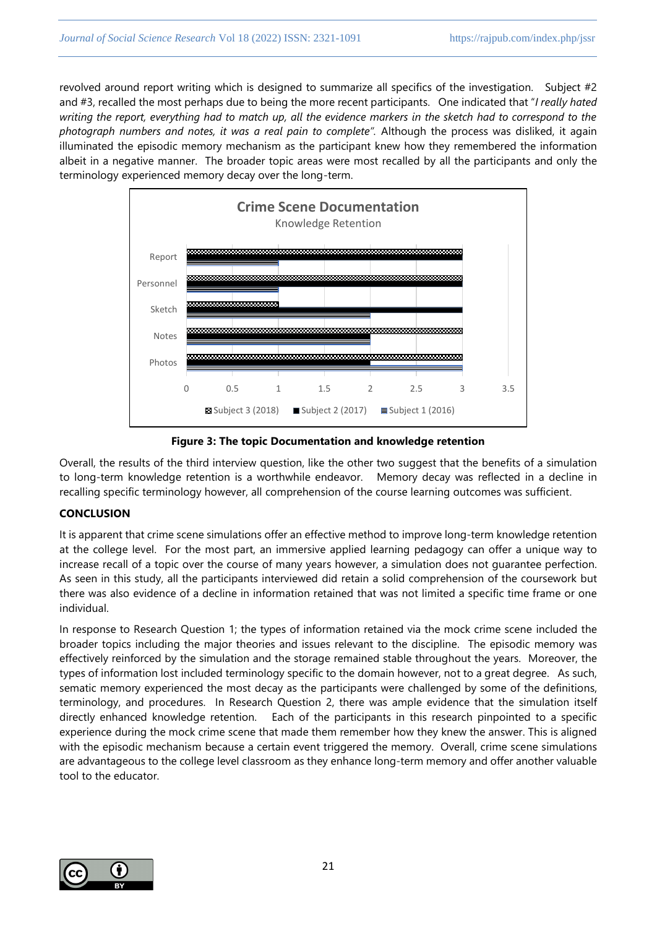revolved around report writing which is designed to summarize all specifics of the investigation. Subject #2 and #3, recalled the most perhaps due to being the more recent participants. One indicated that "*I really hated writing the report, everything had to match up, all the evidence markers in the sketch had to correspond to the photograph numbers and notes, it was a real pain to complete".* Although the process was disliked, it again illuminated the episodic memory mechanism as the participant knew how they remembered the information albeit in a negative manner. The broader topic areas were most recalled by all the participants and only the terminology experienced memory decay over the long-term.



**Figure 3: The topic Documentation and knowledge retention**

Overall, the results of the third interview question, like the other two suggest that the benefits of a simulation to long-term knowledge retention is a worthwhile endeavor. Memory decay was reflected in a decline in recalling specific terminology however, all comprehension of the course learning outcomes was sufficient.

### **CONCLUSION**

It is apparent that crime scene simulations offer an effective method to improve long-term knowledge retention at the college level. For the most part, an immersive applied learning pedagogy can offer a unique way to increase recall of a topic over the course of many years however, a simulation does not guarantee perfection. As seen in this study, all the participants interviewed did retain a solid comprehension of the coursework but there was also evidence of a decline in information retained that was not limited a specific time frame or one individual.

In response to Research Question 1; the types of information retained via the mock crime scene included the broader topics including the major theories and issues relevant to the discipline. The episodic memory was effectively reinforced by the simulation and the storage remained stable throughout the years. Moreover, the types of information lost included terminology specific to the domain however, not to a great degree. As such, sematic memory experienced the most decay as the participants were challenged by some of the definitions, terminology, and procedures. In Research Question 2, there was ample evidence that the simulation itself directly enhanced knowledge retention. Each of the participants in this research pinpointed to a specific experience during the mock crime scene that made them remember how they knew the answer. This is aligned with the episodic mechanism because a certain event triggered the memory. Overall, crime scene simulations are advantageous to the college level classroom as they enhance long-term memory and offer another valuable tool to the educator.

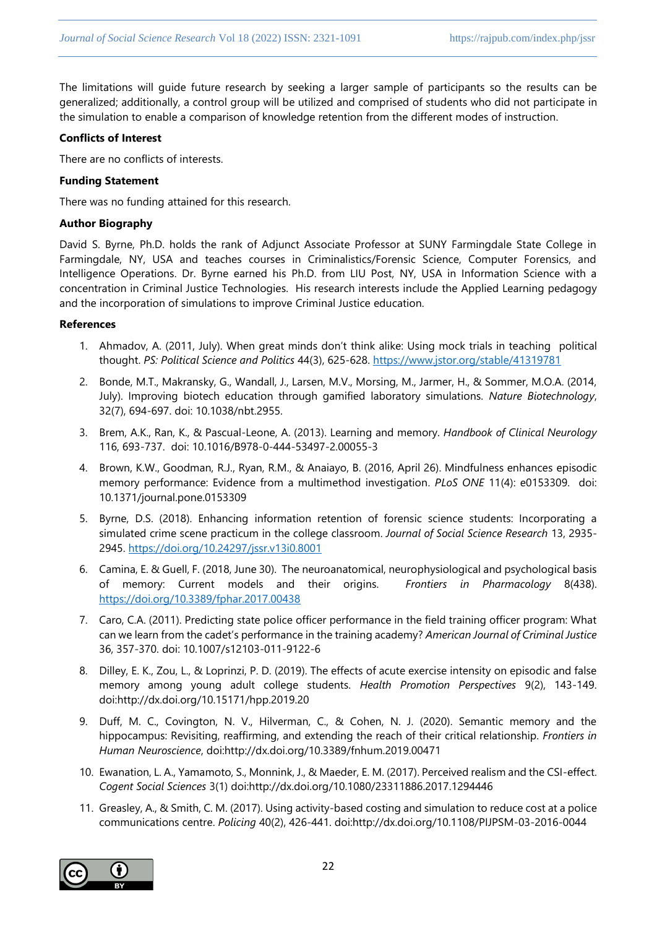The limitations will guide future research by seeking a larger sample of participants so the results can be generalized; additionally, a control group will be utilized and comprised of students who did not participate in the simulation to enable a comparison of knowledge retention from the different modes of instruction.

# **Conflicts of Interest**

There are no conflicts of interests.

### **Funding Statement**

There was no funding attained for this research.

### **Author Biography**

David S. Byrne, Ph.D. holds the rank of Adjunct Associate Professor at SUNY Farmingdale State College in Farmingdale, NY, USA and teaches courses in Criminalistics/Forensic Science, Computer Forensics, and Intelligence Operations. Dr. Byrne earned his Ph.D. from LIU Post, NY, USA in Information Science with a concentration in Criminal Justice Technologies. His research interests include the Applied Learning pedagogy and the incorporation of simulations to improve Criminal Justice education.

#### **References**

- 1. Ahmadov, A. (2011, July). When great minds don't think alike: Using mock trials in teaching political thought. *PS: Political Science and Politics* 44(3), 625-628.<https://www.jstor.org/stable/41319781>
- 2. Bonde, M.T., Makransky, G., Wandall, J., Larsen, M.V., Morsing, M., Jarmer, H., & Sommer, M.O.A. (2014, July). Improving biotech education through gamified laboratory simulations. *Nature Biotechnology*, 32(7), 694-697. doi: 10.1038/nbt.2955.
- 3. Brem, A.K., Ran, K., & Pascual-Leone, A. (2013). Learning and memory. *Handbook of Clinical Neurology* 116, 693-737. doi: 10.1016/B978-0-444-53497-2.00055-3
- 4. Brown, K.W., Goodman, R.J., Ryan, R.M., & Anaiayo, B. (2016, April 26). Mindfulness enhances episodic memory performance: Evidence from a multimethod investigation. *PLoS ONE* 11(4): e0153309. doi: 10.1371/journal.pone.0153309
- 5. Byrne, D.S. (2018). Enhancing information retention of forensic science students: Incorporating a simulated crime scene practicum in the college classroom. *Journal of Social Science Research* 13, 2935- 2945.<https://doi.org/10.24297/jssr.v13i0.8001>
- 6. Camina, E. & Guell, F. (2018, June 30). The neuroanatomical, neurophysiological and psychological basis of memory: Current models and their origins. *Frontiers in Pharmacology* 8(438). <https://doi.org/10.3389/fphar.2017.00438>
- 7. Caro, C.A. (2011). Predicting state police officer performance in the field training officer program: What can we learn from the cadet's performance in the training academy? *American Journal of Criminal Justice* 36, 357-370. doi: 10.1007/s12103-011-9122-6
- 8. Dilley, E. K., Zou, L., & Loprinzi, P. D. (2019). The effects of acute exercise intensity on episodic and false memory among young adult college students. *Health Promotion Perspectives* 9(2), 143-149. doi:http://dx.doi.org/10.15171/hpp.2019.20
- 9. Duff, M. C., Covington, N. V., Hilverman, C., & Cohen, N. J. (2020). Semantic memory and the hippocampus: Revisiting, reaffirming, and extending the reach of their critical relationship. *Frontiers in Human Neuroscience*, doi:http://dx.doi.org/10.3389/fnhum.2019.00471
- 10. Ewanation, L. A., Yamamoto, S., Monnink, J., & Maeder, E. M. (2017). Perceived realism and the CSI-effect. *Cogent Social Sciences* 3(1) doi:http://dx.doi.org/10.1080/23311886.2017.1294446
- 11. Greasley, A., & Smith, C. M. (2017). Using activity-based costing and simulation to reduce cost at a police communications centre. *Policing* 40(2), 426-441. doi:http://dx.doi.org/10.1108/PIJPSM-03-2016-0044

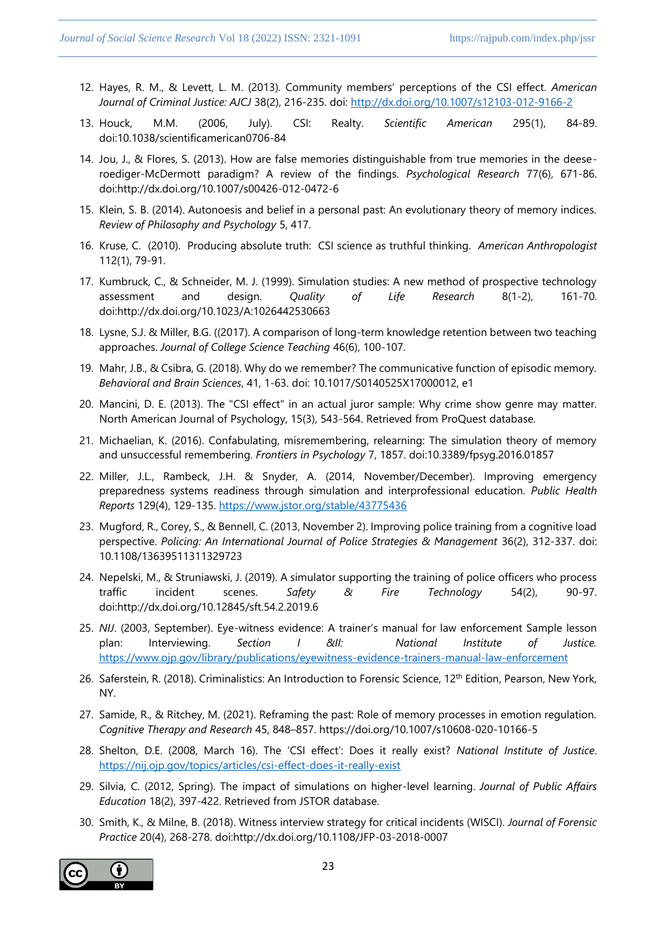- 12. Hayes, R. M., & Levett, L. M. (2013). Community members' perceptions of the CSI effect. *American Journal of Criminal Justice: AJCJ* 38(2), 216-235. doi:<http://dx.doi.org/10.1007/s12103-012-9166-2>
- 13. Houck, M.M. (2006, July). CSI: Realty. *Scientific American* 295(1), 84-89. doi:10.1038/scientificamerican0706-84
- 14. Jou, J., & Flores, S. (2013). How are false memories distinguishable from true memories in the deeseroediger-McDermott paradigm? A review of the findings. *Psychological Research* 77(6), 671-86. doi:http://dx.doi.org/10.1007/s00426-012-0472-6
- 15. Klein, S. B. (2014). Autonoesis and belief in a personal past: An evolutionary theory of memory indices. *Review of Philosophy and Psychology* 5, 417.
- 16. Kruse, C. (2010). Producing absolute truth: CSI science as truthful thinking. *American Anthropologist* 112(1), 79-91.
- 17. Kumbruck, C., & Schneider, M. J. (1999). Simulation studies: A new method of prospective technology assessment and design. *Quality of Life Research* 8(1-2), 161-70. doi:http://dx.doi.org/10.1023/A:1026442530663
- 18. Lysne, S.J. & Miller, B.G. ((2017). A comparison of long-term knowledge retention between two teaching approaches. *Journal of College Science Teaching* 46(6), 100-107.
- 19. Mahr, J.B., & Csibra, G. (2018). Why do we remember? The communicative function of episodic memory. *Behavioral and Brain Sciences*, 41, 1-63. doi: 10.1017/S0140525X17000012, e1
- 20. Mancini, D. E. (2013). The "CSI effect" in an actual juror sample: Why crime show genre may matter. North American Journal of Psychology, 15(3), 543-564. Retrieved from ProQuest database.
- 21. Michaelian, K. (2016). Confabulating, misremembering, relearning: The simulation theory of memory and unsuccessful remembering. *Frontiers in Psychology* 7, 1857. doi:10.3389/fpsyg.2016.01857
- 22. Miller, J.L., Rambeck, J.H. & Snyder, A. (2014, November/December). Improving emergency preparedness systems readiness through simulation and interprofessional education. *Public Health Reports* 129(4), 129-135.<https://www.jstor.org/stable/43775436>
- 23. Mugford, R., Corey, S., & Bennell, C. (2013, November 2). Improving police training from a cognitive load perspective. *Policing: An International Journal of Police Strategies & Management* 36(2), 312-337. doi: 10.1108/13639511311329723
- 24. Nepelski, M., & Struniawski, J. (2019). A simulator supporting the training of police officers who process traffic incident scenes. *Safety & Fire Technology* 54(2), 90-97. doi:http://dx.doi.org/10.12845/sft.54.2.2019.6
- 25. *NIJ*. (2003, September). Eye-witness evidence: A trainer's manual for law enforcement Sample lesson plan: Interviewing. *Section I &II: National Institute of Justice.* <https://www.ojp.gov/library/publications/eyewitness-evidence-trainers-manual-law-enforcement>
- 26. Saferstein, R. (2018). Criminalistics: An Introduction to Forensic Science, 12<sup>th</sup> Edition, Pearson, New York, NY.
- 27. Samide, R., & Ritchey, M. (2021). Reframing the past: Role of memory processes in emotion regulation. *Cognitive Therapy and Research* 45, 848–857. https://doi.org/10.1007/s10608-020-10166-5
- 28. Shelton, D.E. (2008, March 16). The 'CSI effect': Does it really exist? *National Institute of Justice*. <https://nij.ojp.gov/topics/articles/csi-effect-does-it-really-exist>
- 29. Silvia, C. (2012, Spring). The impact of simulations on higher-level learning. *Journal of Public Affairs Education* 18(2), 397-422. Retrieved from JSTOR database.
- 30. Smith, K., & Milne, B. (2018). Witness interview strategy for critical incidents (WISCI). *Journal of Forensic Practice* 20(4), 268-278. doi:http://dx.doi.org/10.1108/JFP-03-2018-0007